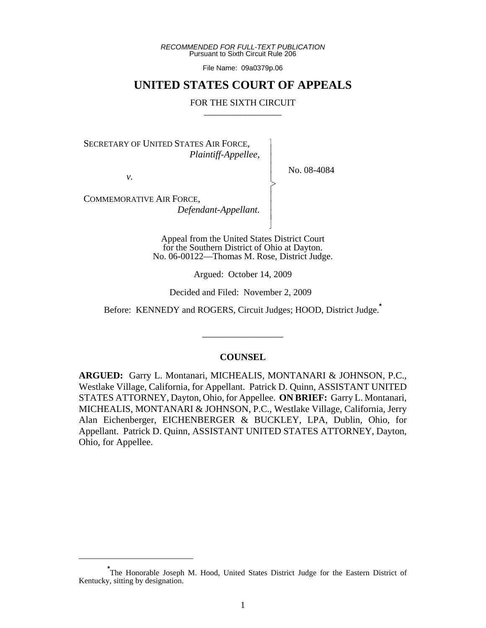*RECOMMENDED FOR FULL-TEXT PUBLICATION* Pursuant to Sixth Circuit Rule 206

File Name: 09a0379p.06

## **UNITED STATES COURT OF APPEALS**

## FOR THE SIXTH CIRCUIT

 $\overline{\phantom{a}}$ - - - > , - - - N

SECRETARY OF UNITED STATES AIR FORCE,  *Plaintiff-Appellee,*

*v.*

No. 08-4084

COMMEMORATIVE AIR FORCE,  *Defendant-Appellant.*

> Appeal from the United States District Court for the Southern District of Ohio at Dayton. No. 06-00122—Thomas M. Rose, District Judge.

> > Argued: October 14, 2009

Decided and Filed: November 2, 2009

Before: KENNEDY and ROGERS, Circuit Judges; HOOD, District Judge.**\***

## **COUNSEL**

\_\_\_\_\_\_\_\_\_\_\_\_\_\_\_\_\_

**ARGUED:** Garry L. Montanari, MICHEALIS, MONTANARI & JOHNSON, P.C., Westlake Village, California, for Appellant. Patrick D. Quinn, ASSISTANT UNITED STATES ATTORNEY, Dayton, Ohio, for Appellee. **ON BRIEF:** Garry L. Montanari, MICHEALIS, MONTANARI & JOHNSON, P.C., Westlake Village, California, Jerry Alan Eichenberger, EICHENBERGER & BUCKLEY, LPA, Dublin, Ohio, for Appellant. Patrick D. Quinn, ASSISTANT UNITED STATES ATTORNEY, Dayton, Ohio, for Appellee.

**<sup>\*</sup>** The Honorable Joseph M. Hood, United States District Judge for the Eastern District of Kentucky, sitting by designation.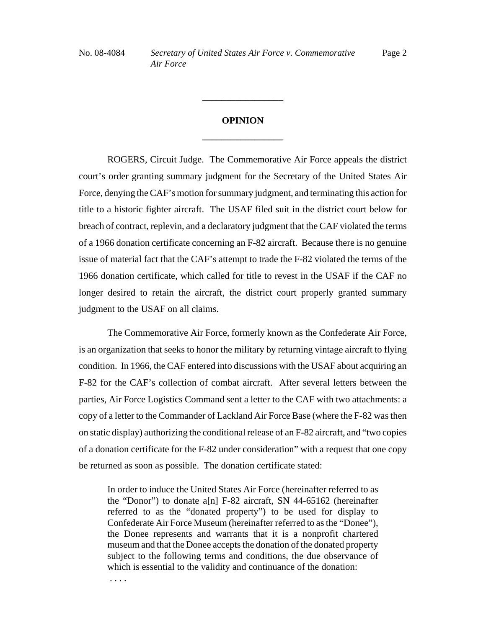## **OPINION \_\_\_\_\_\_\_\_\_\_\_\_\_\_\_\_\_**

**\_\_\_\_\_\_\_\_\_\_\_\_\_\_\_\_\_**

ROGERS, Circuit Judge. The Commemorative Air Force appeals the district court's order granting summary judgment for the Secretary of the United States Air Force, denying the CAF's motion for summary judgment, and terminating this action for title to a historic fighter aircraft. The USAF filed suit in the district court below for breach of contract, replevin, and a declaratory judgment that the CAF violated the terms of a 1966 donation certificate concerning an F-82 aircraft. Because there is no genuine issue of material fact that the CAF's attempt to trade the F-82 violated the terms of the 1966 donation certificate, which called for title to revest in the USAF if the CAF no longer desired to retain the aircraft, the district court properly granted summary judgment to the USAF on all claims.

The Commemorative Air Force, formerly known as the Confederate Air Force, is an organization that seeks to honor the military by returning vintage aircraft to flying condition. In 1966, the CAF entered into discussions with the USAF about acquiring an F-82 for the CAF's collection of combat aircraft. After several letters between the parties, Air Force Logistics Command sent a letter to the CAF with two attachments: a copy of a letter to the Commander of Lackland Air Force Base (where the F-82 was then on static display) authorizing the conditional release of an F-82 aircraft, and "two copies of a donation certificate for the F-82 under consideration" with a request that one copy be returned as soon as possible. The donation certificate stated:

In order to induce the United States Air Force (hereinafter referred to as the "Donor") to donate a[n] F-82 aircraft, SN 44-65162 (hereinafter referred to as the "donated property") to be used for display to Confederate Air Force Museum (hereinafter referred to as the "Donee"), the Donee represents and warrants that it is a nonprofit chartered museum and that the Donee accepts the donation of the donated property subject to the following terms and conditions, the due observance of which is essential to the validity and continuance of the donation:

. . . .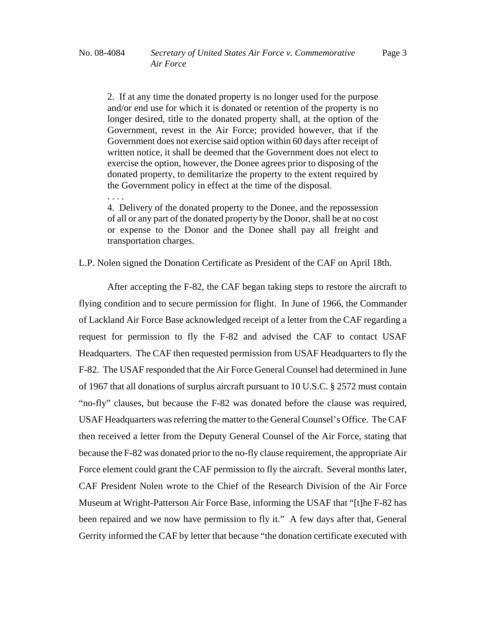. . . .

2. If at any time the donated property is no longer used for the purpose and/or end use for which it is donated or retention of the property is no longer desired, title to the donated property shall, at the option of the Government, revest in the Air Force; provided however, that if the Government does not exercise said option within 60 days after receipt of written notice, it shall be deemed that the Government does not elect to exercise the option, however, the Donee agrees prior to disposing of the donated property, to demilitarize the property to the extent required by the Government policy in effect at the time of the disposal.

4. Delivery of the donated property to the Donee, and the repossession of all or any part of the donated property by the Donor, shall be at no cost or expense to the Donor and the Donee shall pay all freight and transportation charges.

L.P. Nolen signed the Donation Certificate as President of the CAF on April 18th.

After accepting the F-82, the CAF began taking steps to restore the aircraft to flying condition and to secure permission for flight. In June of 1966, the Commander of Lackland Air Force Base acknowledged receipt of a letter from the CAF regarding a request for permission to fly the F-82 and advised the CAF to contact USAF Headquarters. The CAF then requested permission from USAF Headquarters to fly the F-82. The USAF responded that the Air Force General Counsel had determined in June of 1967 that all donations of surplus aircraft pursuant to 10 U.S.C. § 2572 must contain "no-fly" clauses, but because the F-82 was donated before the clause was required, USAF Headquarters was referring the matter to the General Counsel's Office. The CAF then received a letter from the Deputy General Counsel of the Air Force, stating that because the F-82 was donated prior to the no-fly clause requirement, the appropriate Air Force element could grant the CAF permission to fly the aircraft. Several months later, CAF President Nolen wrote to the Chief of the Research Division of the Air Force Museum at Wright-Patterson Air Force Base, informing the USAF that "[t]he F-82 has been repaired and we now have permission to fly it." A few days after that, General Gerrity informed the CAF by letter that because "the donation certificate executed with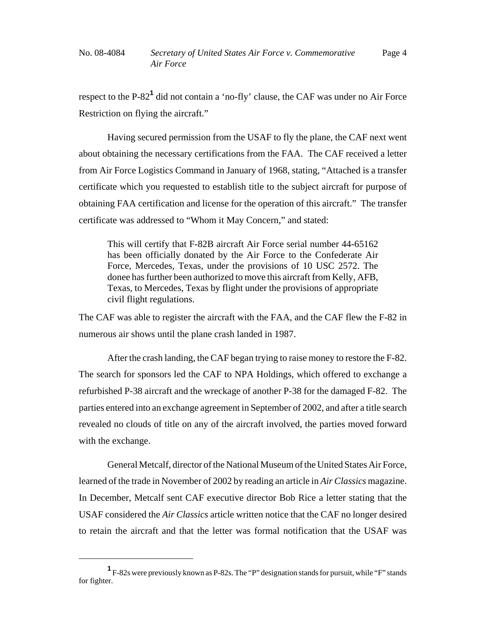respect to the P-82<sup>1</sup> did not contain a 'no-fly' clause, the CAF was under no Air Force Restriction on flying the aircraft."

Having secured permission from the USAF to fly the plane, the CAF next went about obtaining the necessary certifications from the FAA. The CAF received a letter from Air Force Logistics Command in January of 1968, stating, "Attached is a transfer certificate which you requested to establish title to the subject aircraft for purpose of obtaining FAA certification and license for the operation of this aircraft." The transfer certificate was addressed to "Whom it May Concern," and stated:

This will certify that F-82B aircraft Air Force serial number 44-65162 has been officially donated by the Air Force to the Confederate Air Force, Mercedes, Texas, under the provisions of 10 USC 2572. The donee has further been authorized to move this aircraft from Kelly, AFB, Texas, to Mercedes, Texas by flight under the provisions of appropriate civil flight regulations.

The CAF was able to register the aircraft with the FAA, and the CAF flew the F-82 in numerous air shows until the plane crash landed in 1987.

After the crash landing, the CAF began trying to raise money to restore the F-82. The search for sponsors led the CAF to NPA Holdings, which offered to exchange a refurbished P-38 aircraft and the wreckage of another P-38 for the damaged F-82. The parties entered into an exchange agreement in September of 2002, and after a title search revealed no clouds of title on any of the aircraft involved, the parties moved forward with the exchange.

General Metcalf, director of the National Museum of the United States Air Force, learned of the trade in November of 2002 by reading an article in *Air Classics* magazine. In December, Metcalf sent CAF executive director Bob Rice a letter stating that the USAF considered the *Air Classics* article written notice that the CAF no longer desired to retain the aircraft and that the letter was formal notification that the USAF was

**<sup>1</sup>** F-82s were previously known as P-82s. The "P" designation stands for pursuit, while "F" stands for fighter.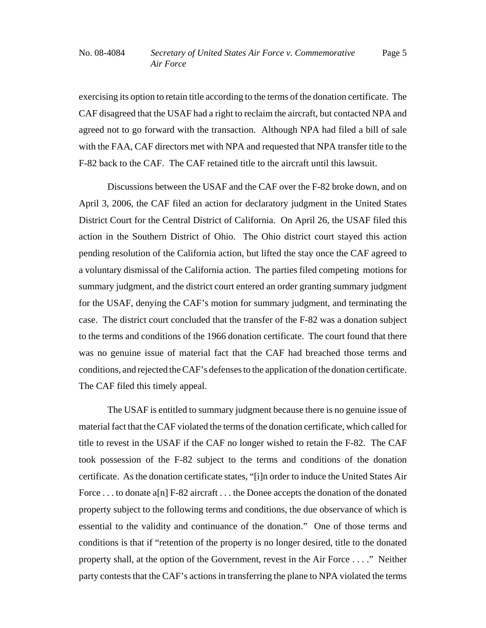exercising its option to retain title according to the terms of the donation certificate. The CAF disagreed that the USAF had a right to reclaim the aircraft, but contacted NPA and agreed not to go forward with the transaction. Although NPA had filed a bill of sale with the FAA, CAF directors met with NPA and requested that NPA transfer title to the F-82 back to the CAF. The CAF retained title to the aircraft until this lawsuit.

Discussions between the USAF and the CAF over the F-82 broke down, and on April 3, 2006, the CAF filed an action for declaratory judgment in the United States District Court for the Central District of California. On April 26, the USAF filed this action in the Southern District of Ohio. The Ohio district court stayed this action pending resolution of the California action, but lifted the stay once the CAF agreed to a voluntary dismissal of the California action. The parties filed competing motions for summary judgment, and the district court entered an order granting summary judgment for the USAF, denying the CAF's motion for summary judgment, and terminating the case. The district court concluded that the transfer of the F-82 was a donation subject to the terms and conditions of the 1966 donation certificate. The court found that there was no genuine issue of material fact that the CAF had breached those terms and conditions, and rejected the CAF's defenses to the application of the donation certificate. The CAF filed this timely appeal.

The USAF is entitled to summary judgment because there is no genuine issue of material fact that the CAF violated the terms of the donation certificate, which called for title to revest in the USAF if the CAF no longer wished to retain the F-82. The CAF took possession of the F-82 subject to the terms and conditions of the donation certificate. As the donation certificate states, "[i]n order to induce the United States Air Force . . . to donate a[n] F-82 aircraft . . . the Donee accepts the donation of the donated property subject to the following terms and conditions, the due observance of which is essential to the validity and continuance of the donation." One of those terms and conditions is that if "retention of the property is no longer desired, title to the donated property shall, at the option of the Government, revest in the Air Force . . . ." Neither party contests that the CAF's actions in transferring the plane to NPA violated the terms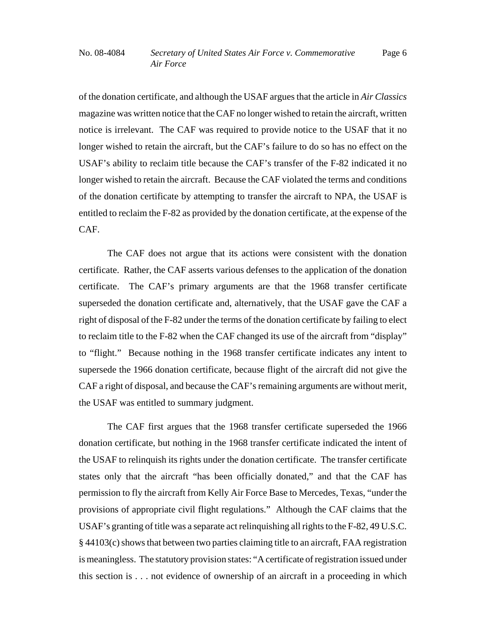of the donation certificate, and although the USAF argues that the article in *Air Classics* magazine was written notice that the CAF no longer wished to retain the aircraft, written notice is irrelevant. The CAF was required to provide notice to the USAF that it no longer wished to retain the aircraft, but the CAF's failure to do so has no effect on the USAF's ability to reclaim title because the CAF's transfer of the F-82 indicated it no longer wished to retain the aircraft. Because the CAF violated the terms and conditions of the donation certificate by attempting to transfer the aircraft to NPA, the USAF is entitled to reclaim the F-82 as provided by the donation certificate, at the expense of the CAF.

The CAF does not argue that its actions were consistent with the donation certificate. Rather, the CAF asserts various defenses to the application of the donation certificate. The CAF's primary arguments are that the 1968 transfer certificate superseded the donation certificate and, alternatively, that the USAF gave the CAF a right of disposal of the F-82 under the terms of the donation certificate by failing to elect to reclaim title to the F-82 when the CAF changed its use of the aircraft from "display" to "flight." Because nothing in the 1968 transfer certificate indicates any intent to supersede the 1966 donation certificate, because flight of the aircraft did not give the CAF a right of disposal, and because the CAF's remaining arguments are without merit, the USAF was entitled to summary judgment.

The CAF first argues that the 1968 transfer certificate superseded the 1966 donation certificate, but nothing in the 1968 transfer certificate indicated the intent of the USAF to relinquish its rights under the donation certificate. The transfer certificate states only that the aircraft "has been officially donated," and that the CAF has permission to fly the aircraft from Kelly Air Force Base to Mercedes, Texas, "under the provisions of appropriate civil flight regulations." Although the CAF claims that the USAF's granting of title was a separate act relinquishing all rights to the F-82, 49 U.S.C. § 44103(c) shows that between two parties claiming title to an aircraft, FAA registration is meaningless. The statutory provision states: "A certificate of registration issued under this section is . . . not evidence of ownership of an aircraft in a proceeding in which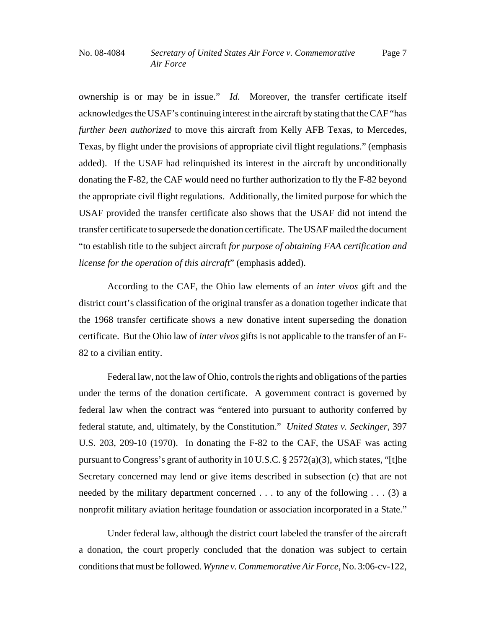ownership is or may be in issue." *Id.* Moreover, the transfer certificate itself acknowledges the USAF's continuing interest in the aircraft by stating that the CAF "has *further been authorized* to move this aircraft from Kelly AFB Texas, to Mercedes, Texas, by flight under the provisions of appropriate civil flight regulations." (emphasis added). If the USAF had relinquished its interest in the aircraft by unconditionally donating the F-82, the CAF would need no further authorization to fly the F-82 beyond the appropriate civil flight regulations. Additionally, the limited purpose for which the USAF provided the transfer certificate also shows that the USAF did not intend the transfer certificate to supersede the donation certificate. The USAF mailed the document "to establish title to the subject aircraft *for purpose of obtaining FAA certification and license for the operation of this aircraft*" (emphasis added).

According to the CAF, the Ohio law elements of an *inter vivos* gift and the district court's classification of the original transfer as a donation together indicate that the 1968 transfer certificate shows a new donative intent superseding the donation certificate. But the Ohio law of *inter vivos* gifts is not applicable to the transfer of an F-82 to a civilian entity.

Federal law, not the law of Ohio, controls the rights and obligations of the parties under the terms of the donation certificate. A government contract is governed by federal law when the contract was "entered into pursuant to authority conferred by federal statute, and, ultimately, by the Constitution." *United States v. Seckinger*, 397 U.S. 203, 209-10 (1970). In donating the F-82 to the CAF, the USAF was acting pursuant to Congress's grant of authority in 10 U.S.C. § 2572(a)(3), which states, "[t]he Secretary concerned may lend or give items described in subsection (c) that are not needed by the military department concerned . . . to any of the following . . . (3) a nonprofit military aviation heritage foundation or association incorporated in a State."

Under federal law, although the district court labeled the transfer of the aircraft a donation, the court properly concluded that the donation was subject to certain conditions that must be followed. *Wynne v. Commemorative Air Force*, No. 3:06-cv-122,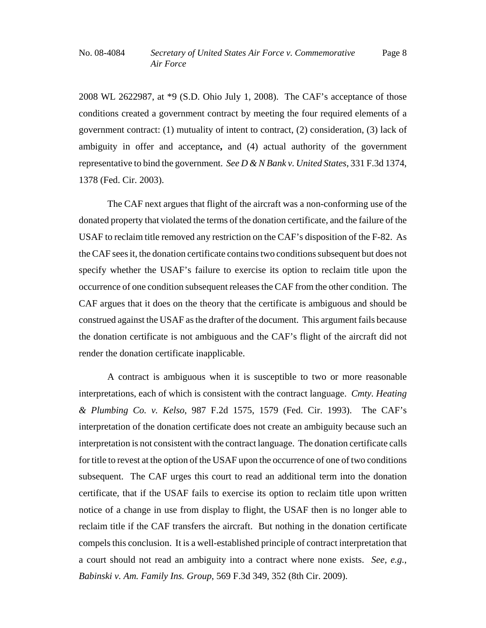2008 WL 2622987, at \*9 (S.D. Ohio July 1, 2008). The CAF's acceptance of those conditions created a government contract by meeting the four required elements of a government contract: (1) mutuality of intent to contract, (2) consideration, (3) lack of ambiguity in offer and acceptance**,** and (4) actual authority of the government representative to bind the government. *See D & N Bank v. United States*, 331 F.3d 1374, 1378 (Fed. Cir. 2003).

The CAF next argues that flight of the aircraft was a non-conforming use of the donated property that violated the terms of the donation certificate, and the failure of the USAF to reclaim title removed any restriction on the CAF's disposition of the F-82. As the CAF sees it, the donation certificate contains two conditions subsequent but does not specify whether the USAF's failure to exercise its option to reclaim title upon the occurrence of one condition subsequent releases the CAF from the other condition. The CAF argues that it does on the theory that the certificate is ambiguous and should be construed against the USAF as the drafter of the document. This argument fails because the donation certificate is not ambiguous and the CAF's flight of the aircraft did not render the donation certificate inapplicable.

A contract is ambiguous when it is susceptible to two or more reasonable interpretations, each of which is consistent with the contract language. *Cmty. Heating & Plumbing Co. v. Kelso*, 987 F.2d 1575, 1579 (Fed. Cir. 1993). The CAF's interpretation of the donation certificate does not create an ambiguity because such an interpretation is not consistent with the contract language. The donation certificate calls for title to revest at the option of the USAF upon the occurrence of one of two conditions subsequent. The CAF urges this court to read an additional term into the donation certificate, that if the USAF fails to exercise its option to reclaim title upon written notice of a change in use from display to flight, the USAF then is no longer able to reclaim title if the CAF transfers the aircraft. But nothing in the donation certificate compels this conclusion. It is a well-established principle of contract interpretation that a court should not read an ambiguity into a contract where none exists. *See, e.g.*, *Babinski v. Am. Family Ins. Group*, 569 F.3d 349, 352 (8th Cir. 2009).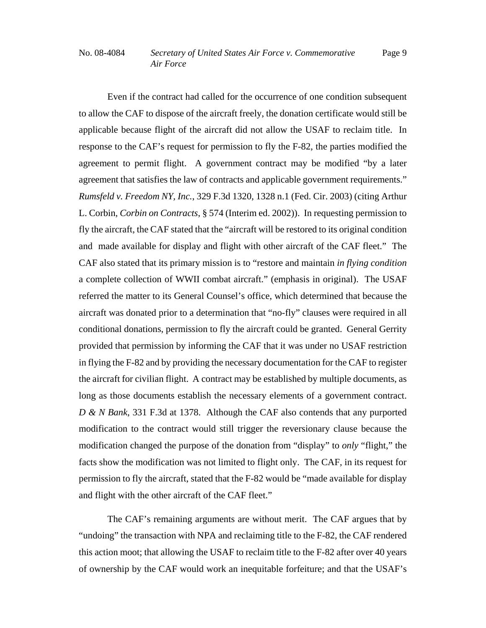Even if the contract had called for the occurrence of one condition subsequent to allow the CAF to dispose of the aircraft freely, the donation certificate would still be applicable because flight of the aircraft did not allow the USAF to reclaim title. In response to the CAF's request for permission to fly the F-82, the parties modified the agreement to permit flight. A government contract may be modified "by a later agreement that satisfies the law of contracts and applicable government requirements." *Rumsfeld v. Freedom NY, Inc.*, 329 F.3d 1320, 1328 n.1 (Fed. Cir. 2003) (citing Arthur L. Corbin, *Corbin on Contracts*, § 574 (Interim ed. 2002)). In requesting permission to fly the aircraft, the CAF stated that the "aircraft will be restored to its original condition and made available for display and flight with other aircraft of the CAF fleet." The CAF also stated that its primary mission is to "restore and maintain *in flying condition* a complete collection of WWII combat aircraft." (emphasis in original). The USAF referred the matter to its General Counsel's office, which determined that because the aircraft was donated prior to a determination that "no-fly" clauses were required in all conditional donations, permission to fly the aircraft could be granted. General Gerrity provided that permission by informing the CAF that it was under no USAF restriction in flying the F-82 and by providing the necessary documentation for the CAF to register the aircraft for civilian flight. A contract may be established by multiple documents, as long as those documents establish the necessary elements of a government contract. *D & N Bank*, 331 F.3d at 1378.Although the CAF also contends that any purported modification to the contract would still trigger the reversionary clause because the modification changed the purpose of the donation from "display" to *only* "flight," the facts show the modification was not limited to flight only. The CAF, in its request for permission to fly the aircraft, stated that the F-82 would be "made available for display and flight with the other aircraft of the CAF fleet."

The CAF's remaining arguments are without merit. The CAF argues that by "undoing" the transaction with NPA and reclaiming title to the F-82, the CAF rendered this action moot; that allowing the USAF to reclaim title to the F-82 after over 40 years of ownership by the CAF would work an inequitable forfeiture; and that the USAF's